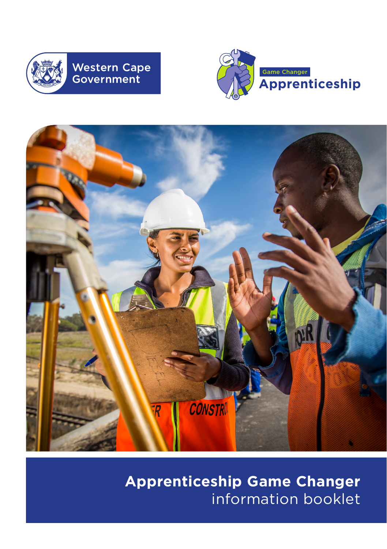





**Apprenticeship Game Changer**  information booklet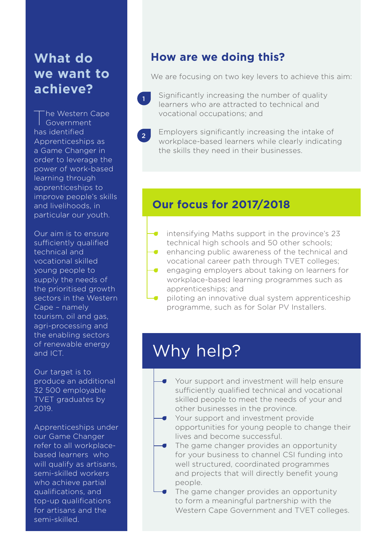# **What do we want to achieve?**

The Western Cape Government has identified Apprenticeships as a Game Changer in order to leverage the power of work-based learning through apprenticeships to improve people's skills and livelihoods, in particular our youth.

Our aim is to ensure sufficiently qualified technical and vocational skilled young people to supply the needs of the prioritised growth sectors in the Western Cape – namely tourism, oil and gas, agri-processing and the enabling sectors of renewable energy and ICT.

Our target is to produce an additional 32 500 employable TVET graduates by 2019.

Apprenticeships under our Game Changer refer to all workplacebased learners who will qualify as artisans, semi-skilled workers who achieve partial qualifications, and top-up qualifications for artisans and the semi-skilled.

# **How are we doing this?**

We are focusing on two key levers to achieve this aim:

- 1 Significantly increasing the number of quality learners who are attracted to technical and vocational occupations; and
- $\mathcal{L}$ Employers significantly increasing the intake of workplace-based learners while clearly indicating the skills they need in their businesses.

# **Our focus for 2017/2018**

- intensifying Maths support in the province's 23 technical high schools and 50 other schools;
- enhancing public awareness of the technical and vocational career path through TVET colleges;
- engaging employers about taking on learners for workplace-based learning programmes such as apprenticeships; and
- piloting an innovative dual system apprenticeship programme, such as for Solar PV Installers.

# Why help?

- Your support and investment will help ensure sufficiently qualified technical and vocational skilled people to meet the needs of your and other businesses in the province.
- Your support and investment provide opportunities for young people to change their lives and become successful.
- The game changer provides an opportunity for your business to channel CSI funding into well structured, coordinated programmes and projects that will directly benefit young people.
- The game changer provides an opportunity to form a meaningful partnership with the Western Cape Government and TVET colleges.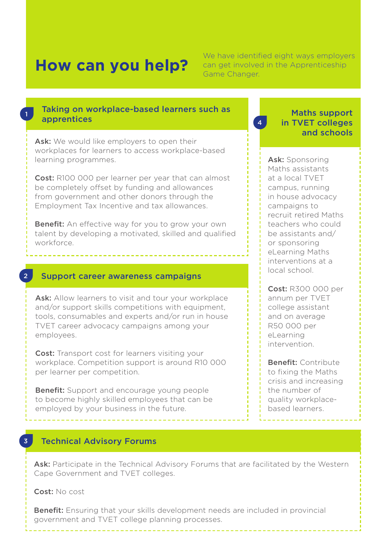1

2

3

We have identified eight ways employers<br> **How can vou help?** Can get involved in the Apprenticeship can get involved in the Apprenticeship Game Changer.

#### Taking on workplace-based learners such as apprentices

Ask: We would like employers to open their workplaces for learners to access workplace-based learning programmes.

Cost: R100 000 per learner per year that can almost be completely offset by funding and allowances from government and other donors through the Employment Tax Incentive and tax allowances.

Benefit: An effective way for you to grow your own talent by developing a motivated, skilled and qualified workforce.

#### Support career awareness campaigns

Ask: Allow learners to visit and tour your workplace and/or support skills competitions with equipment, tools, consumables and experts and/or run in house TVET career advocacy campaigns among your employees.

Cost: Transport cost for learners visiting your workplace. Competition support is around R10 000 per learner per competition.

Benefit: Support and encourage young people to become highly skilled employees that can be employed by your business in the future.

4

Maths support in TVET colleges and schools

Ask: Sponsoring Maths assistants at a local TVET campus, running in house advocacy campaigns to recruit retired Maths teachers who could be assistants and/ or sponsoring eLearning Maths interventions at a local school.

Cost: R300 000 per annum per TVET college assistant and on average R50 000 per eLearning intervention.

Benefit: Contribute to fixing the Maths crisis and increasing the number of quality workplacebased learners.

#### Technical Advisory Forums

Ask: Participate in the Technical Advisory Forums that are facilitated by the Western Cape Government and TVET colleges.

Cost: No cost

Benefit: Ensuring that your skills development needs are included in provincial government and TVET college planning processes.